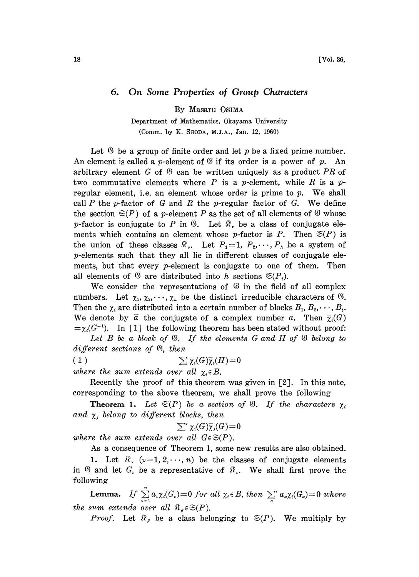## 6. On Some Properties of Group Characters

By Masaru 0SlMA

## Department of Mathematics, 0kayama University (Comm. by K. SHODA, M.J.A., Jan. 12, 1960)

Let  $\mathcal G$  be a group of finite order and let p be a fixed prime number. An element is called a *p*-element of  $\mathcal G$  if its order is a power of p. An arbitrary element G of  $\mathfrak G$  can be written uniquely as a product PR of two commutative elements where P is a p-element, while R is a  $p$ regular element, i.e. an element whose order is prime to  $p$ . We shall call  $P$  the p-factor of  $G$  and  $R$  the p-regular factor of  $G$ . We define the section  $\mathfrak{S}(P)$  of a p-element P as the set of all elements of  $\mathfrak G$  whose p-factor is conjugate to P in  $\mathcal{B}$ . Let  $\mathcal{R}$ , be a class of conjugate elements which contains an element whose p-factor is P. Then  $\mathfrak{S}(P)$  is the union of these classes  $\mathbb{R}_r$ . Let  $P_1=1$ ,  $P_2,\dots,P_k$  be a system of p-elements such that they all lie in different classes of conjugate elements, but that every  $p$ -element is conjugate to one of them. Then all elements of  $\mathfrak{G}$  are distributed into h sections  $\mathfrak{S}(P_i)$ .

We consider the representations of  $\mathcal G$  in the field of all complex numbers. Let  $\chi_1, \chi_2, \dots, \chi_n$  be the distinct irreducible characters of  $\mathfrak{G}$ . Then the  $\chi_i$  are distributed into a certain number of blocks  $B_1, B_2, \dots, B_t$ . We denote by  $\bar{a}$  the conjugate of a complex number a. Then  $\bar{\chi}_i(G)$  $=\chi_i(G^{-1})$ . In [1] the following theorem has been stated without proof:

Let  $B$  be a block of  $\mathfrak{G}$ . If the elements  $G$  and  $H$  of  $\mathfrak{G}$  belong to different sections of  $\mathfrak{B}$ , then

(1)  $\sum \chi_i(G)\overline{\chi}_i(H) = 0$ 

where the sum extends over all  $\chi_i \in B$ .

Recently the proof of this theorem was given in  $\lceil 2 \rceil$ . In this note, corresponding to the above theorem, we shall prove the following

**Theorem 1.** Let  $\mathfrak{S}(P)$  be a section of  $\mathfrak{B}$ . If the characters  $\chi_i$ and  $\chi_j$  belong to different blocks, then

$$
\sum' \chi_i(G) \overline{\chi}_j(G) = 0
$$

where the sum extends over all  $G \in \mathfrak{S}(P)$ .

As a consequence of Theorem 1, some new results are also obtained.

1. Let  $\mathcal{R}$ ,  $(\nu=1, 2, \dots, n)$  be the classes of conjugate elements in  $\mathfrak G$  and let  $G_r$  be a representative of  $\mathfrak R_r$ . We shall first prove the following

**Lemma.** If  $\sum_{\nu=1}^{\infty} a_{\nu} \chi_i(G_{\nu}) = 0$  for all  $\chi_i \in B$ , then  $\sum_{\alpha}^{\infty} a_{\alpha} \chi_i(G_{\alpha}) = 0$  where<br>sum extends over all  $\Re_{\alpha} \in \mathfrak{S}(P)$ . the sum extends over all  $\mathbb{R}_{\alpha} \in \mathfrak{S}(P)$ .

*Proof.* Let  $\mathbb{R}_{\beta}$  be a class belonging to  $\mathfrak{S}(P)$ . We multiply by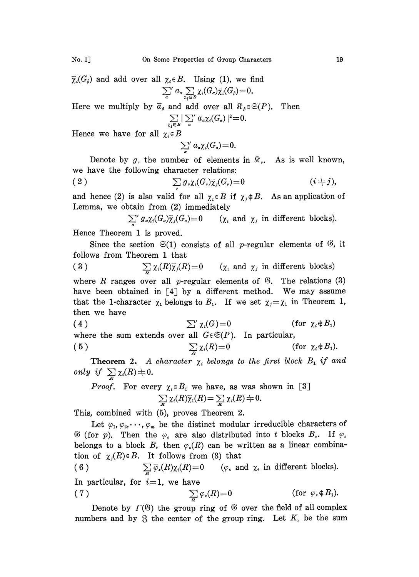$\overline{\chi}_i(G_\beta)$  and add over all  $\chi_i \in B$ . Using (1), we find<br>  $\sum_{a}^{\prime} a_{\alpha} \sum_{\chi_i \in B} \chi_i(G_\alpha) \overline{\chi}_i(G_\beta) = 0$ .

Here we multiply by  $\overline{a}_{\beta}$  and add over all  $\mathbb{R}_{\beta} \in \mathfrak{S}(P)$ . Then  $\sum |\sum' a_{\alpha} \chi_i(G_{\alpha})|^2 = 0$ .

$$
\sum_{i\in B}|\sum_{\alpha}^{\prime} a_{\alpha}\chi_i(G_{\alpha})|^2\!=\!0
$$

Hence we have for all  $\chi_i \in B$ 

$$
\sum_{\alpha}^{\prime} a_{\alpha} \chi_i(G_{\alpha}) = 0.
$$

Denote by  $g_r$ , the number of elements in  $\mathbb{R}_r$ . As is well known, we have the following character relations:

$$
\sum_{\nu} g_{\nu} \chi_i(G_{\nu}) \overline{\chi}_j(G_{\nu}) = 0 \qquad (i \neq j),
$$

and hence (2) is also valid for all  $\chi_i \in B$  if  $\chi_j \notin B$ . As an application of Lemma, we obtain from (2) immediately

$$
\sum_{\alpha} g_{\alpha} \chi_i(G_{\alpha}) \overline{\chi}_j(G_{\alpha}) = 0 \qquad (\chi_i \text{ and } \chi_j \text{ in different blocks}).
$$

 $\sum_{\alpha}$   $\sum_{\alpha}$   $\sum_{\alpha}$   $\sum_{\alpha}$   $\sum_{\beta}$  Hence Theorem 1 is proved.

Since the section  $\mathfrak{S}(1)$  consists of all p-regular elements of  $\mathfrak{G}$ , it follows from Theorem 1 that

(3)  $\sum_{R} \chi_i(R) \overline{\chi}_j(R) = 0$   $(\chi_i \text{ and } \chi_j \text{ in different blocks})$ where R ranges over all p-regular elements of  $\mathcal{G}$ . The relations (3)

have been obtained in [4] by a different method. We may assume that the 1-character  $\chi_1$  belongs to  $B_1$ . If we set  $\chi_j = \chi_1$  in Theorem 1, then we have

(4) 
$$
\sum' \chi_i(G) = 0
$$
 (for  $\chi_i \notin B_1$ )  
where the sum extends over all  $G \in \mathfrak{S}(P)$ . In particular,  
(5) 
$$
\sum_{i} \chi_i(R) = 0
$$
 (for  $\chi_i \notin B_1$ ).

**Theorem 2.** A character  $\chi_i$  belongs to the first block  $B_1$  if and only if  $\sum_{i} \chi_i(R) \neq 0$ .

*Proof.* For every 
$$
\chi_i \in B_1
$$
 we have, as was shown in [3]  

$$
\sum_{R} \chi_i(R) \overline{\chi}_1(R) = \sum_{R} \chi_i(R) \neq 0.
$$

This, combined with (5), proves Theorem 2.

Let  $\varphi_1, \varphi_2, \dots, \varphi_m$  be the distinct modular irreducible characters of  $\mathcal{G}$  (for p). Then the  $\varphi_{\kappa}$  are also distributed into t blocks  $B_{\tau}$ . If  $\varphi_{\kappa}$ belongs to a block B, then  $\varphi_{\varepsilon}(R)$  can be written as a linear combination of  $\chi_i(R) \in B$ . It follows from (3) that

(6)  $\sum_{P} \overline{\varphi}_s(R) \chi_i(R) = 0$  ( $\varphi_s$  and  $\chi_i$  in different blocks). In particular, for  $i=1$ , we have

(7) 
$$
\sum_{R} \varphi_{\kappa}(R) = 0 \quad \text{(for } \varphi_{\kappa} \notin B_1\text{).}
$$

Denote by  $\Gamma(\mathfrak{G})$  the group ring of  $\mathfrak{G}$  over the field of all complex numbers and by  $\mathfrak{Z}$  the center of the group ring. Let  $K$ , be the sum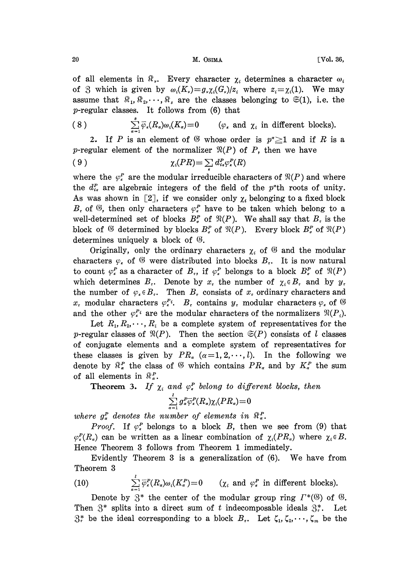## 20 M. OSIMA [Vol. 36,

of all elements in  $\mathcal{R}_{\nu}$ . Every character  $\chi_i$  determines a character  $\omega_i$ of 3 which is given by  $\omega_i(K_i)=g_i\chi_i(G_i)/z_i$  where  $z_i=\chi_i(1)$ . We may assume that  $\mathbb{R}_1, \mathbb{R}_2, \dots, \mathbb{R}_s$  are the classes belonging to  $\mathfrak{S}(1)$ , i.e. the p-regular classes. It follows from (6) that

(8) 
$$
\sum_{\alpha=1}^{s} \overline{\varphi}_s(R_\alpha) \omega_s(K_\alpha) = 0 \qquad (\varphi_s \text{ and } \chi_i \text{ in different blocks}).
$$

2. If P is an element of  $\mathfrak G$  whose order is  $p^{\alpha} \geq 1$  and if R is a p-regular element of the normalizer  $\mathfrak{N}(P)$  of P, then we have

$$
\chi_i(PR) = \sum d_{i\kappa}^P \varphi_{\kappa}^P(R)
$$

where the  $\varphi^P_*$  are the modular irreducible characters of  $\Re(P)$  and where the  $d_{i\kappa}^P$  are algebraic integers of the field of the p<sup>\*</sup>th roots of unity. As was shown in [2], if we consider only  $\chi_i$  belonging to a fixed block  $B<sub>r</sub>$  of  $\mathfrak{G}$ , then only characters  $\varphi<sub>r</sub><sup>P</sup>$  have to be taken which belong to a well-determined set of blocks  $B_{\sigma}^{P}$  of  $\mathfrak{N}(P)$ . We shall say that  $B_{\tau}$  is the block of  $\mathfrak G$  determined by blocks  $B^p$  of  $\mathfrak N(P)$ . Every block  $B^p$  of  $\mathfrak N(P)$ determines uniquely a block of  $\mathcal G$ .

Originally, only the ordinary characters  $\chi_i$  of  $\mathcal G$  and the modular characters  $\varphi$ , of  $\mathfrak G$  were distributed into blocks  $B_{\tau}$ . It is now natural to count  $\varphi_*^P$  as a character of  $B_\tau$ , if  $\varphi_*^P$  belongs to a block  $B_\sigma^P$  of  $\Re(P)$ which determines  $B<sub>r</sub>$ . Denote by  $x<sub>r</sub>$  the number of  $\chi<sub>i</sub> \in B<sub>r</sub>$  and by  $y<sub>r</sub>$ . the number of  $\varphi_{\kappa} \in B_{\kappa}$ . Then  $B_{\kappa}$  consists of  $x_{\kappa}$  ordinary characters and  $x_r$  modular characters  $\varphi_r^{P_i}$ .  $B_r$  contains  $y_r$  modular characters  $\varphi_r$  of  $\emptyset$ and the other  $\varphi_i^{P_i}$  are the modular characters of the normalizers  $\Re(P_i)$ .

Let  $R_1, R_2, \dots, R_t$  be a complete system of representatives for the p-regular classes of  $\mathfrak{N}(P)$ . Then the section  $\mathfrak{S}(P)$  consists of l classes of conjugate elements and a complete system of representatives for these classes is given by  $PR_{\alpha}$  ( $\alpha=1, 2, \dots, l$ ). In the following we denote by  $\mathbb{R}_{\alpha}^{P}$  the class of  $\mathfrak{G}$  which contains  $PR_{\alpha}$  and by  $K_{\alpha}^{P}$  the sum of all elements in  $\mathbb{R}_{a}^{P}$ .

**Theorem 3.** If  $\chi_i$  and  $\varphi_r^P$  belong to different blocks, then

$$
\sum_{\alpha=1}^{\ell} g_{\alpha}^P \overline{\varphi}_{\alpha}^P(R_{\alpha}) \chi_i(PR_{\alpha}) \!=\! 0
$$

where  $g_x^P$  denotes the number of elements in  $\mathbb{R}_a^P$ .

*Proof.* If  $\varphi^P_k$  belongs to a block B, then we see from (9) that  $\varphi_{\varepsilon}^P(R_{\varepsilon})$  can be written as a linear combination of  $\chi_{\varepsilon}(PR_{\varepsilon})$  where  $\chi_{\varepsilon} \in B$ . Hence Theorem 3 follows from Theorem 1 immediately.

Evidently Theorem <sup>3</sup> is <sup>a</sup> generalization of (6). We have from Theorem 3

(10) 
$$
\sum_{\alpha=1}^{l} \overline{\varphi}_{\epsilon}^{P}(R_{\alpha}) \omega_{\epsilon}(K_{\alpha}^{P}) = 0 \qquad (\chi_{\epsilon} \text{ and } \varphi_{\epsilon}^{P} \text{ in different blocks}).
$$

Denote by  $3^*$  the center of the modular group ring  $\Gamma^*(\mathcal{G})$  of  $\mathcal{G}$ . Then  $\mathfrak{F}^*$  splits into a direct sum of t indecomposable ideals  $\mathfrak{F}^*$ . Let  $\mathfrak{Z}_r^*$  be the ideal corresponding to a block  $B_r$ . Let  $\zeta_1, \zeta_2, \dots, \zeta_m$  be the